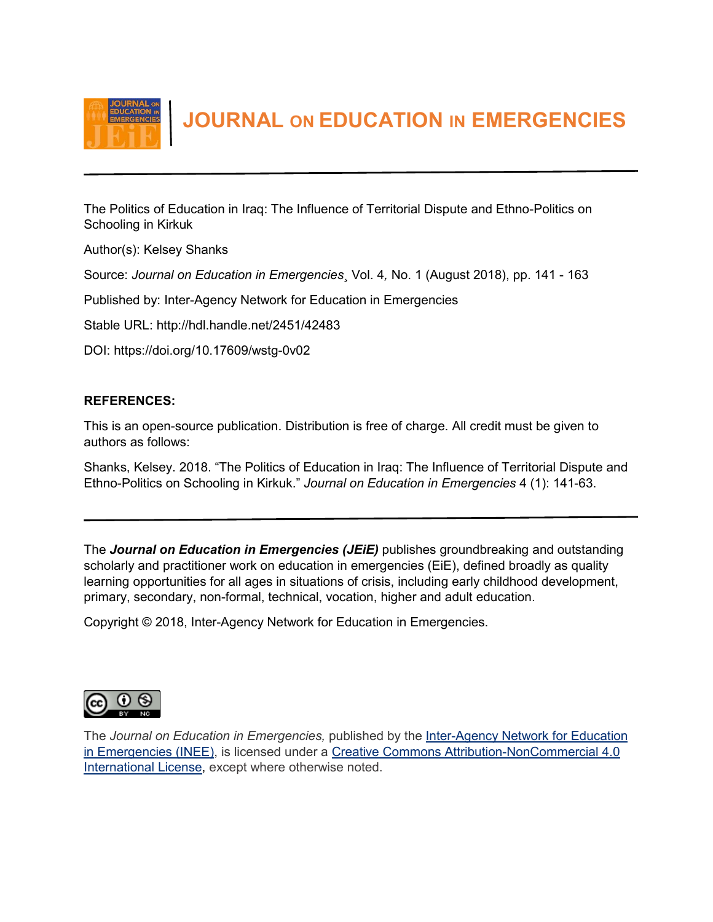

 **JOURNAL ON EDUCATION IN EMERGENCIES**

The Politics of Education in Iraq: The Influence of Territorial Dispute and Ethno-Politics on Schooling in Kirkuk

Author(s): Kelsey Shanks

Source: *Journal on Education in Emergencies*¸ Vol. 4*,* No. 1 (August 2018), pp. 141 - 163

Published by: Inter-Agency Network for Education in Emergencies

Stable URL: http://hdl.handle.net/2451/42483

DOI: https://doi.org/10.17609/wstg-0v02

# **REFERENCES:**

This is an open-source publication. Distribution is free of charge. All credit must be given to authors as follows:

Shanks, Kelsey. 2018. "The Politics of Education in Iraq: The Influence of Territorial Dispute and Ethno-Politics on Schooling in Kirkuk." *Journal on Education in Emergencies* 4 (1): 141-63.

The *Journal on Education in Emergencies (JEiE)* publishes groundbreaking and outstanding scholarly and practitioner work on education in emergencies (EiE), defined broadly as quality learning opportunities for all ages in situations of crisis, including early childhood development, primary, secondary, non-formal, technical, vocation, higher and adult education.

Copyright © 2018, Inter-Agency Network for Education in Emergencies.



The *Journal on Education in Emergencies,* published by the [Inter-Agency Network for Education](http://www.ineesite.org/en/journal)  [in Emergencies \(INEE\),](http://www.ineesite.org/en/journal) is licensed under a [Creative Commons Attribution-NonCommercial 4.0](http://creativecommons.org/licenses/by-nc/4.0/)  [International License,](http://creativecommons.org/licenses/by-nc/4.0/) except where otherwise noted.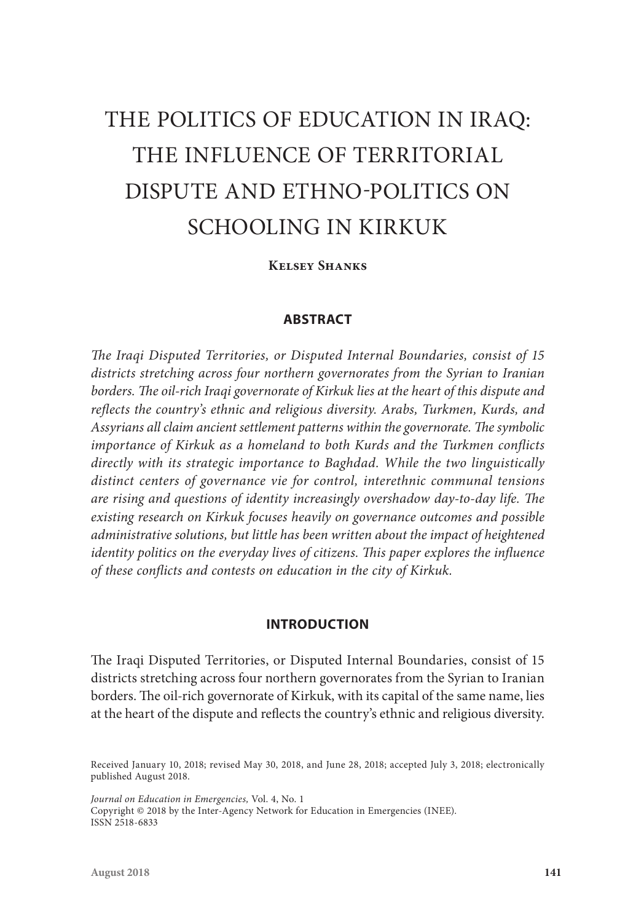# THE POLITICS OF EDUCATION IN IRAQ: THE INFLUENCE OF TERRITORIAL DISPUTE AND ETHNO-POLITICS ON SCHOOLING IN KIRKUK

**Kelsey Shanks**

## **ABSTRACT**

*The Iraqi Disputed Territories, or Disputed Internal Boundaries, consist of 15 districts stretching across four northern governorates from the Syrian to Iranian borders. The oil-rich Iraqi governorate of Kirkuk lies at the heart of this dispute and reflects the country's ethnic and religious diversity. Arabs, Turkmen, Kurds, and Assyrians all claim ancient settlement patterns within the governorate. The symbolic importance of Kirkuk as a homeland to both Kurds and the Turkmen conflicts directly with its strategic importance to Baghdad. While the two linguistically distinct centers of governance vie for control, interethnic communal tensions are rising and questions of identity increasingly overshadow day-to-day life. The existing research on Kirkuk focuses heavily on governance outcomes and possible administrative solutions, but little has been written about the impact of heightened identity politics on the everyday lives of citizens. This paper explores the influence of these conflicts and contests on education in the city of Kirkuk.*

### **INTRODUCTION**

The Iraqi Disputed Territories, or Disputed Internal Boundaries, consist of 15 districts stretching across four northern governorates from the Syrian to Iranian borders. The oil-rich governorate of Kirkuk, with its capital of the same name, lies at the heart of the dispute and reflects the country's ethnic and religious diversity.

*Journal on Education in Emergencies,* Vol. 4, No. 1 Copyright © 2018 by the Inter-Agency Network for Education in Emergencies (INEE). ISSN 2518-6833

Received January 10, 2018; revised May 30, 2018, and June 28, 2018; accepted July 3, 2018; electronically published August 2018.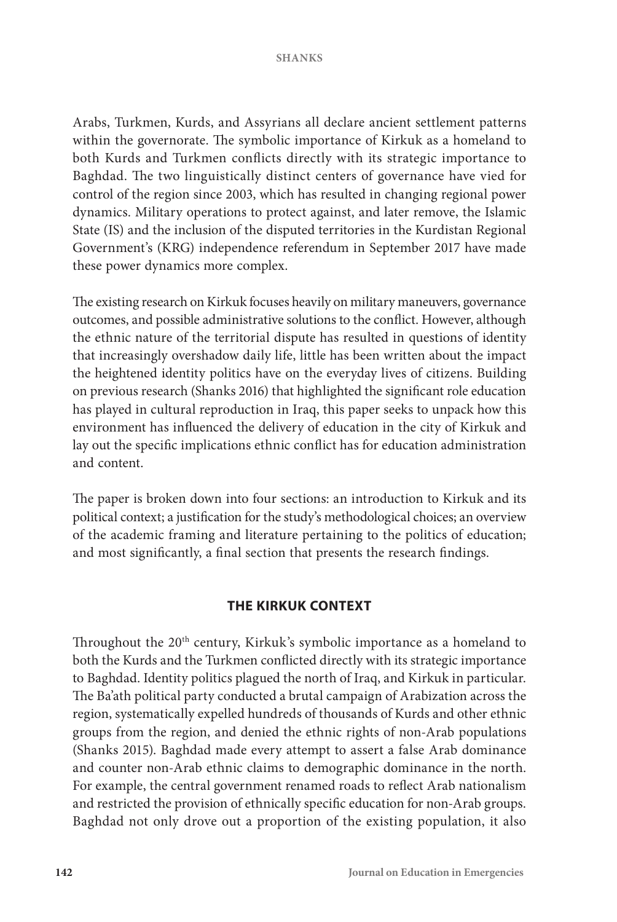Arabs, Turkmen, Kurds, and Assyrians all declare ancient settlement patterns within the governorate. The symbolic importance of Kirkuk as a homeland to both Kurds and Turkmen conflicts directly with its strategic importance to Baghdad. The two linguistically distinct centers of governance have vied for control of the region since 2003, which has resulted in changing regional power dynamics. Military operations to protect against, and later remove, the Islamic State (IS) and the inclusion of the disputed territories in the Kurdistan Regional Government's (KRG) independence referendum in September 2017 have made these power dynamics more complex.

The existing research on Kirkuk focuses heavily on military maneuvers, governance outcomes, and possible administrative solutions to the conflict. However, although the ethnic nature of the territorial dispute has resulted in questions of identity that increasingly overshadow daily life, little has been written about the impact the heightened identity politics have on the everyday lives of citizens. Building on previous research (Shanks 2016) that highlighted the significant role education has played in cultural reproduction in Iraq, this paper seeks to unpack how this environment has influenced the delivery of education in the city of Kirkuk and lay out the specific implications ethnic conflict has for education administration and content.

The paper is broken down into four sections: an introduction to Kirkuk and its political context; a justification for the study's methodological choices; an overview of the academic framing and literature pertaining to the politics of education; and most significantly, a final section that presents the research findings.

## **THE KIRKUK CONTEXT**

Throughout the 20<sup>th</sup> century, Kirkuk's symbolic importance as a homeland to both the Kurds and the Turkmen conflicted directly with its strategic importance to Baghdad. Identity politics plagued the north of Iraq, and Kirkuk in particular. The Ba'ath political party conducted a brutal campaign of Arabization across the region, systematically expelled hundreds of thousands of Kurds and other ethnic groups from the region, and denied the ethnic rights of non-Arab populations (Shanks 2015). Baghdad made every attempt to assert a false Arab dominance and counter non-Arab ethnic claims to demographic dominance in the north. For example, the central government renamed roads to reflect Arab nationalism and restricted the provision of ethnically specific education for non-Arab groups. Baghdad not only drove out a proportion of the existing population, it also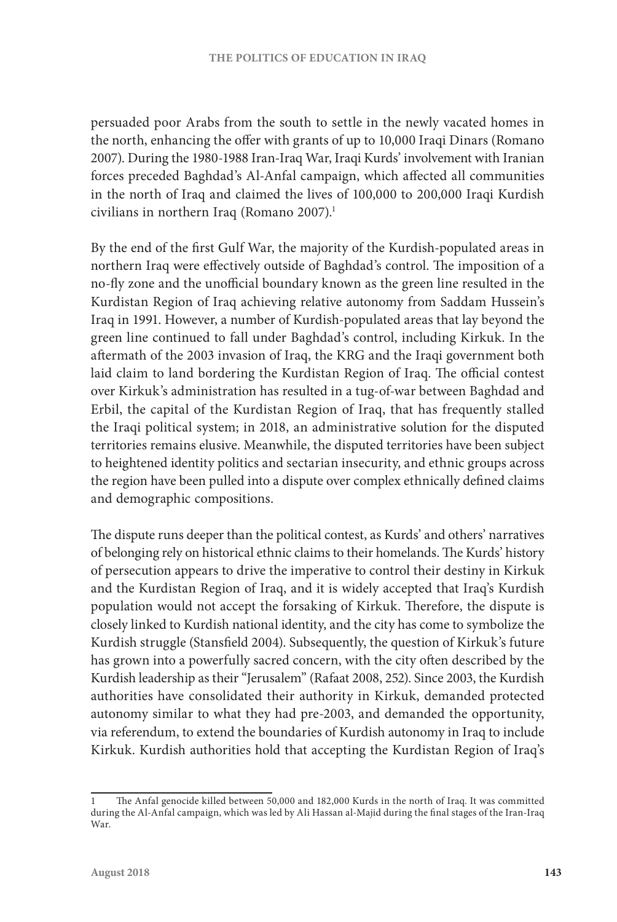persuaded poor Arabs from the south to settle in the newly vacated homes in the north, enhancing the offer with grants of up to 10,000 Iraqi Dinars (Romano 2007). During the 1980-1988 Iran-Iraq War, Iraqi Kurds' involvement with Iranian forces preceded Baghdad's Al-Anfal campaign, which affected all communities in the north of Iraq and claimed the lives of 100,000 to 200,000 Iraqi Kurdish civilians in northern Iraq (Romano 2007).<sup>1</sup>

By the end of the first Gulf War, the majority of the Kurdish-populated areas in northern Iraq were effectively outside of Baghdad's control. The imposition of a no-fly zone and the unofficial boundary known as the green line resulted in the Kurdistan Region of Iraq achieving relative autonomy from Saddam Hussein's Iraq in 1991. However, a number of Kurdish-populated areas that lay beyond the green line continued to fall under Baghdad's control, including Kirkuk. In the aftermath of the 2003 invasion of Iraq, the KRG and the Iraqi government both laid claim to land bordering the Kurdistan Region of Iraq. The official contest over Kirkuk's administration has resulted in a tug-of-war between Baghdad and Erbil, the capital of the Kurdistan Region of Iraq, that has frequently stalled the Iraqi political system; in 2018, an administrative solution for the disputed territories remains elusive. Meanwhile, the disputed territories have been subject to heightened identity politics and sectarian insecurity, and ethnic groups across the region have been pulled into a dispute over complex ethnically defined claims and demographic compositions.

The dispute runs deeper than the political contest, as Kurds' and others' narratives of belonging rely on historical ethnic claims to their homelands. The Kurds' history of persecution appears to drive the imperative to control their destiny in Kirkuk and the Kurdistan Region of Iraq, and it is widely accepted that Iraq's Kurdish population would not accept the forsaking of Kirkuk. Therefore, the dispute is closely linked to Kurdish national identity, and the city has come to symbolize the Kurdish struggle (Stansfield 2004). Subsequently, the question of Kirkuk's future has grown into a powerfully sacred concern, with the city often described by the Kurdish leadership as their "Jerusalem" (Rafaat 2008, 252). Since 2003, the Kurdish authorities have consolidated their authority in Kirkuk, demanded protected autonomy similar to what they had pre-2003, and demanded the opportunity, via referendum, to extend the boundaries of Kurdish autonomy in Iraq to include Kirkuk. Kurdish authorities hold that accepting the Kurdistan Region of Iraq's

<sup>1</sup> The Anfal genocide killed between 50,000 and 182,000 Kurds in the north of Iraq. It was committed during the Al-Anfal campaign, which was led by Ali Hassan al-Majid during the final stages of the Iran-Iraq War.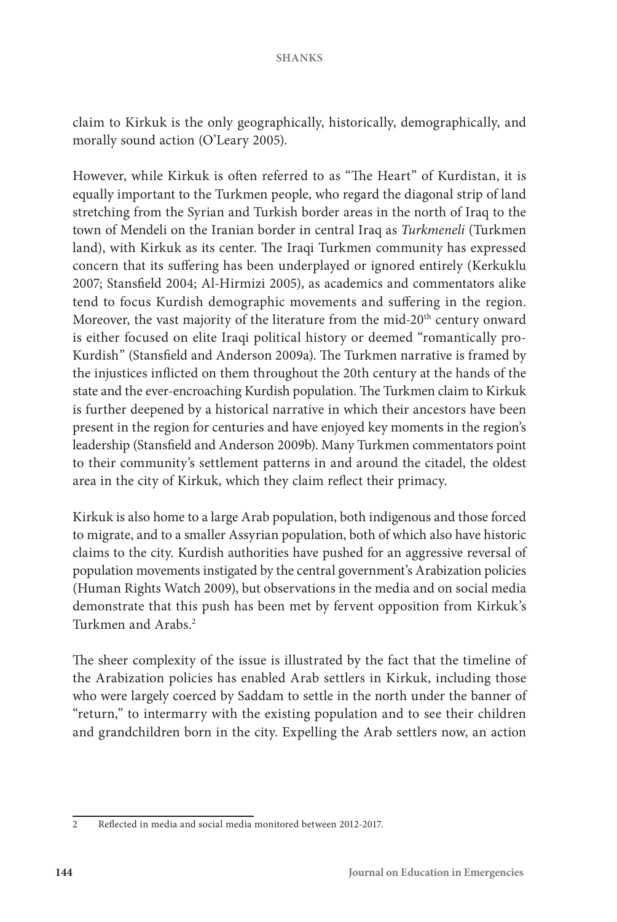claim to Kirkuk is the only geographically, historically, demographically, and morally sound action (O'Leary 2005).

However, while Kirkuk is often referred to as "The Heart" of Kurdistan, it is equally important to the Turkmen people, who regard the diagonal strip of land stretching from the Syrian and Turkish border areas in the north of Iraq to the town of Mendeli on the Iranian border in central Iraq as *Turkmeneli* (Turkmen land), with Kirkuk as its center. The Iraqi Turkmen community has expressed concern that its suffering has been underplayed or ignored entirely (Kerkuklu 2007; Stansfield 2004; Al-Hirmizi 2005), as academics and commentators alike tend to focus Kurdish demographic movements and suffering in the region. Moreover, the vast majority of the literature from the mid-20<sup>th</sup> century onward is either focused on elite Iraqi political history or deemed "romantically pro-Kurdish" (Stansfield and Anderson 2009a). The Turkmen narrative is framed by the injustices inflicted on them throughout the 20th century at the hands of the state and the ever-encroaching Kurdish population. The Turkmen claim to Kirkuk is further deepened by a historical narrative in which their ancestors have been present in the region for centuries and have enjoyed key moments in the region's leadership (Stansfield and Anderson 2009b). Many Turkmen commentators point to their community's settlement patterns in and around the citadel, the oldest area in the city of Kirkuk, which they claim reflect their primacy.

Kirkuk is also home to a large Arab population, both indigenous and those forced to migrate, and to a smaller Assyrian population, both of which also have historic claims to the city. Kurdish authorities have pushed for an aggressive reversal of population movements instigated by the central government's Arabization policies (Human Rights Watch 2009), but observations in the media and on social media demonstrate that this push has been met by fervent opposition from Kirkuk's Turkmen and Arabs.2

The sheer complexity of the issue is illustrated by the fact that the timeline of the Arabization policies has enabled Arab settlers in Kirkuk, including those who were largely coerced by Saddam to settle in the north under the banner of "return," to intermarry with the existing population and to see their children and grandchildren born in the city. Expelling the Arab settlers now, an action

<sup>2</sup> Reflected in media and social media monitored between 2012-2017.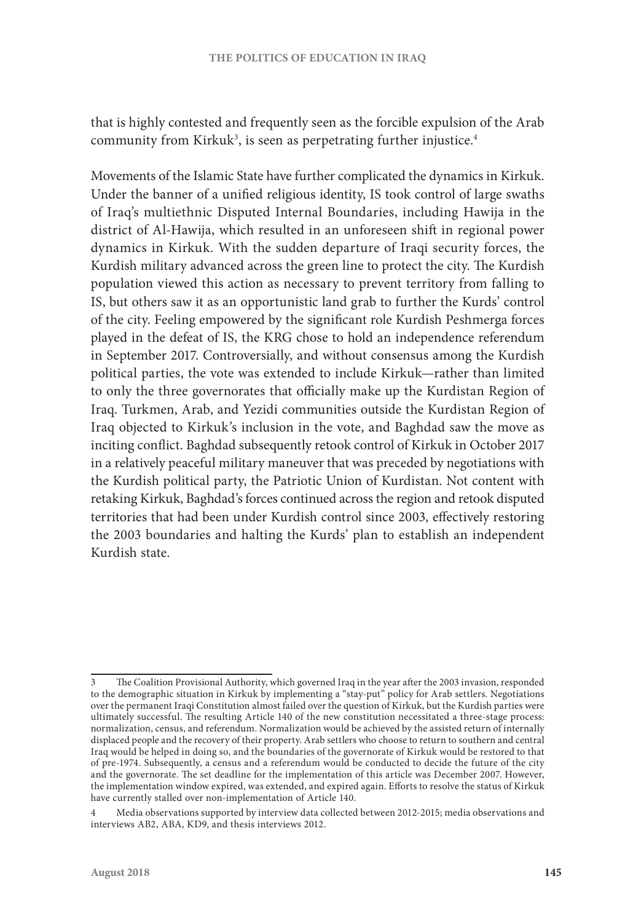that is highly contested and frequently seen as the forcible expulsion of the Arab community from Kirkuk $3$ , is seen as perpetrating further injustice. $4$ 

Movements of the Islamic State have further complicated the dynamics in Kirkuk. Under the banner of a unified religious identity, IS took control of large swaths of Iraq's multiethnic Disputed Internal Boundaries, including Hawija in the district of Al-Hawija, which resulted in an unforeseen shift in regional power dynamics in Kirkuk. With the sudden departure of Iraqi security forces, the Kurdish military advanced across the green line to protect the city. The Kurdish population viewed this action as necessary to prevent territory from falling to IS, but others saw it as an opportunistic land grab to further the Kurds' control of the city. Feeling empowered by the significant role Kurdish Peshmerga forces played in the defeat of IS, the KRG chose to hold an independence referendum in September 2017. Controversially, and without consensus among the Kurdish political parties, the vote was extended to include Kirkuk—rather than limited to only the three governorates that officially make up the Kurdistan Region of Iraq. Turkmen, Arab, and Yezidi communities outside the Kurdistan Region of Iraq objected to Kirkuk's inclusion in the vote, and Baghdad saw the move as inciting conflict. Baghdad subsequently retook control of Kirkuk in October 2017 in a relatively peaceful military maneuver that was preceded by negotiations with the Kurdish political party, the Patriotic Union of Kurdistan. Not content with retaking Kirkuk, Baghdad's forces continued across the region and retook disputed territories that had been under Kurdish control since 2003, effectively restoring the 2003 boundaries and halting the Kurds' plan to establish an independent Kurdish state.

The Coalition Provisional Authority, which governed Iraq in the year after the 2003 invasion, responded to the demographic situation in Kirkuk by implementing a "stay-put" policy for Arab settlers. Negotiations over the permanent Iraqi Constitution almost failed over the question of Kirkuk, but the Kurdish parties were ultimately successful. The resulting Article 140 of the new constitution necessitated a three-stage process: normalization, census, and referendum. Normalization would be achieved by the assisted return of internally displaced people and the recovery of their property. Arab settlers who choose to return to southern and central Iraq would be helped in doing so, and the boundaries of the governorate of Kirkuk would be restored to that of pre-1974. Subsequently, a census and a referendum would be conducted to decide the future of the city and the governorate. The set deadline for the implementation of this article was December 2007. However, the implementation window expired, was extended, and expired again. Efforts to resolve the status of Kirkuk have currently stalled over non-implementation of Article 140.

<sup>4</sup> Media observations supported by interview data collected between 2012-2015; media observations and interviews AB2, ABA, KD9, and thesis interviews 2012.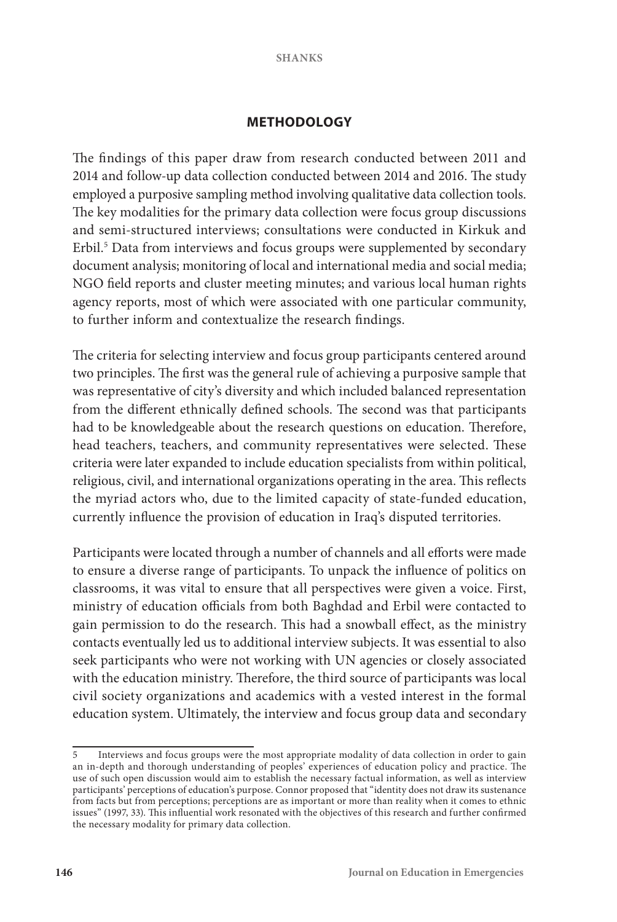## **METHODOLOGY**

The findings of this paper draw from research conducted between 2011 and 2014 and follow-up data collection conducted between 2014 and 2016. The study employed a purposive sampling method involving qualitative data collection tools. The key modalities for the primary data collection were focus group discussions and semi-structured interviews; consultations were conducted in Kirkuk and Erbil.<sup>5</sup> Data from interviews and focus groups were supplemented by secondary document analysis; monitoring of local and international media and social media; NGO field reports and cluster meeting minutes; and various local human rights agency reports, most of which were associated with one particular community, to further inform and contextualize the research findings.

The criteria for selecting interview and focus group participants centered around two principles. The first was the general rule of achieving a purposive sample that was representative of city's diversity and which included balanced representation from the different ethnically defined schools. The second was that participants had to be knowledgeable about the research questions on education. Therefore, head teachers, teachers, and community representatives were selected. These criteria were later expanded to include education specialists from within political, religious, civil, and international organizations operating in the area. This reflects the myriad actors who, due to the limited capacity of state-funded education, currently influence the provision of education in Iraq's disputed territories.

Participants were located through a number of channels and all efforts were made to ensure a diverse range of participants. To unpack the influence of politics on classrooms, it was vital to ensure that all perspectives were given a voice. First, ministry of education officials from both Baghdad and Erbil were contacted to gain permission to do the research. This had a snowball effect, as the ministry contacts eventually led us to additional interview subjects. It was essential to also seek participants who were not working with UN agencies or closely associated with the education ministry. Therefore, the third source of participants was local civil society organizations and academics with a vested interest in the formal education system. Ultimately, the interview and focus group data and secondary

Interviews and focus groups were the most appropriate modality of data collection in order to gain an in-depth and thorough understanding of peoples' experiences of education policy and practice. The use of such open discussion would aim to establish the necessary factual information, as well as interview participants' perceptions of education's purpose. Connor proposed that "identity does not draw its sustenance from facts but from perceptions; perceptions are as important or more than reality when it comes to ethnic issues" (1997, 33). This influential work resonated with the objectives of this research and further confirmed the necessary modality for primary data collection.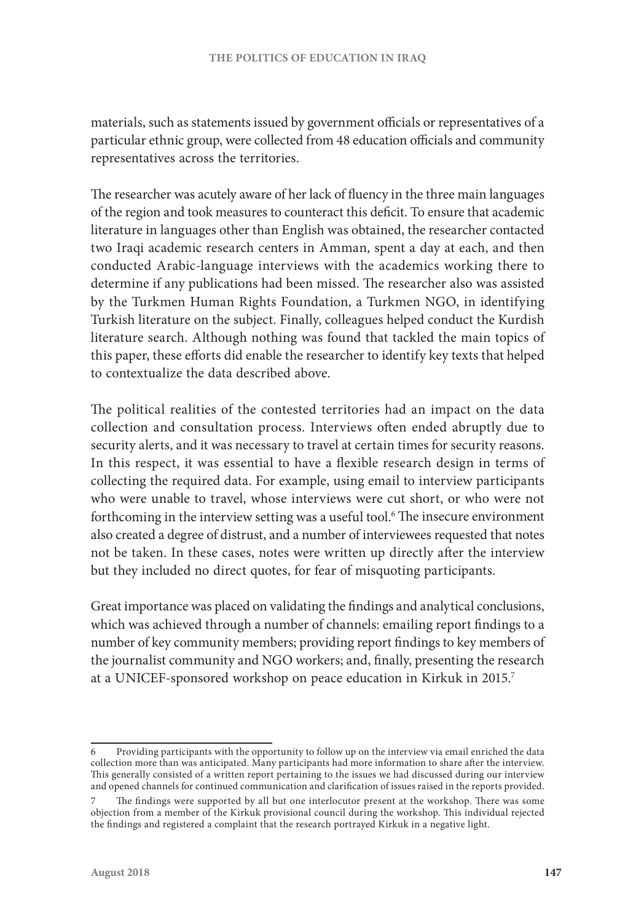materials, such as statements issued by government officials or representatives of a particular ethnic group, were collected from 48 education officials and community representatives across the territories.

The researcher was acutely aware of her lack of fluency in the three main languages of the region and took measures to counteract this deficit. To ensure that academic literature in languages other than English was obtained, the researcher contacted two Iraqi academic research centers in Amman, spent a day at each, and then conducted Arabic-language interviews with the academics working there to determine if any publications had been missed. The researcher also was assisted by the Turkmen Human Rights Foundation, a Turkmen NGO, in identifying Turkish literature on the subject. Finally, colleagues helped conduct the Kurdish literature search. Although nothing was found that tackled the main topics of this paper, these efforts did enable the researcher to identify key texts that helped to contextualize the data described above.

The political realities of the contested territories had an impact on the data collection and consultation process. Interviews often ended abruptly due to security alerts, and it was necessary to travel at certain times for security reasons. In this respect, it was essential to have a flexible research design in terms of collecting the required data. For example, using email to interview participants who were unable to travel, whose interviews were cut short, or who were not forthcoming in the interview setting was a useful tool.<sup>6</sup> The insecure environment also created a degree of distrust, and a number of interviewees requested that notes not be taken. In these cases, notes were written up directly after the interview but they included no direct quotes, for fear of misquoting participants.

Great importance was placed on validating the findings and analytical conclusions, which was achieved through a number of channels: emailing report findings to a number of key community members; providing report findings to key members of the journalist community and NGO workers; and, finally, presenting the research at a UNICEF-sponsored workshop on peace education in Kirkuk in 2015.7

<sup>6</sup> Providing participants with the opportunity to follow up on the interview via email enriched the data collection more than was anticipated. Many participants had more information to share after the interview. This generally consisted of a written report pertaining to the issues we had discussed during our interview and opened channels for continued communication and clarification of issues raised in the reports provided.

The findings were supported by all but one interlocutor present at the workshop. There was some objection from a member of the Kirkuk provisional council during the workshop. This individual rejected the findings and registered a complaint that the research portrayed Kirkuk in a negative light.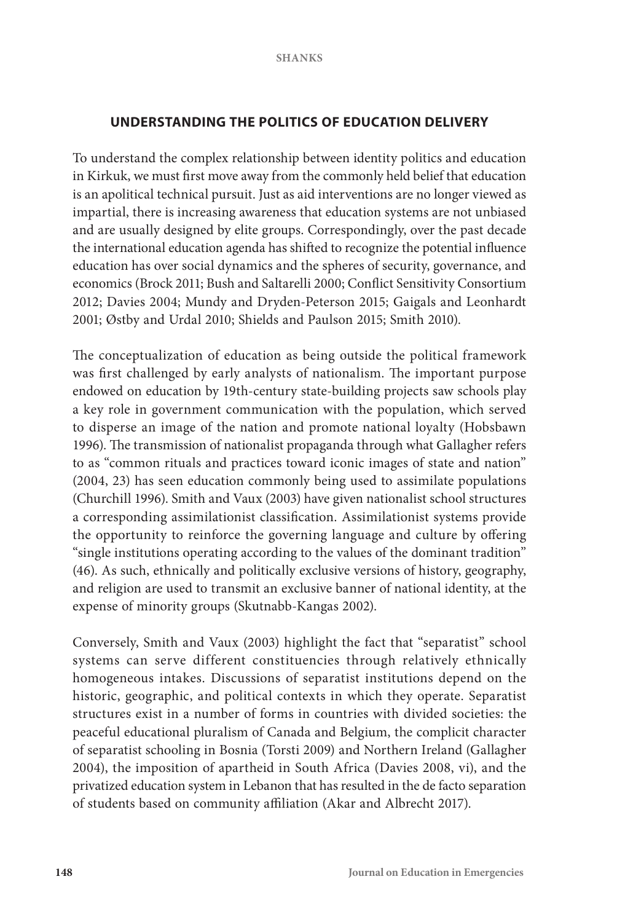# **UNDERSTANDING THE POLITICS OF EDUCATION DELIVERY**

To understand the complex relationship between identity politics and education in Kirkuk, we must first move away from the commonly held belief that education is an apolitical technical pursuit. Just as aid interventions are no longer viewed as impartial, there is increasing awareness that education systems are not unbiased and are usually designed by elite groups. Correspondingly, over the past decade the international education agenda has shifted to recognize the potential influence education has over social dynamics and the spheres of security, governance, and economics (Brock 2011; Bush and Saltarelli 2000; Conflict Sensitivity Consortium 2012; Davies 2004; Mundy and Dryden-Peterson 2015; Gaigals and Leonhardt 2001; Østby and Urdal 2010; Shields and Paulson 2015; Smith 2010).

The conceptualization of education as being outside the political framework was first challenged by early analysts of nationalism. The important purpose endowed on education by 19th-century state-building projects saw schools play a key role in government communication with the population, which served to disperse an image of the nation and promote national loyalty (Hobsbawn 1996). The transmission of nationalist propaganda through what Gallagher refers to as "common rituals and practices toward iconic images of state and nation" (2004, 23) has seen education commonly being used to assimilate populations (Churchill 1996). Smith and Vaux (2003) have given nationalist school structures a corresponding assimilationist classification. Assimilationist systems provide the opportunity to reinforce the governing language and culture by offering "single institutions operating according to the values of the dominant tradition" (46). As such, ethnically and politically exclusive versions of history, geography, and religion are used to transmit an exclusive banner of national identity, at the expense of minority groups (Skutnabb-Kangas 2002).

Conversely, Smith and Vaux (2003) highlight the fact that "separatist" school systems can serve different constituencies through relatively ethnically homogeneous intakes. Discussions of separatist institutions depend on the historic, geographic, and political contexts in which they operate. Separatist structures exist in a number of forms in countries with divided societies: the peaceful educational pluralism of Canada and Belgium, the complicit character of separatist schooling in Bosnia (Torsti 2009) and Northern Ireland (Gallagher 2004), the imposition of apartheid in South Africa (Davies 2008, vi), and the privatized education system in Lebanon that has resulted in the de facto separation of students based on community affiliation (Akar and Albrecht 2017).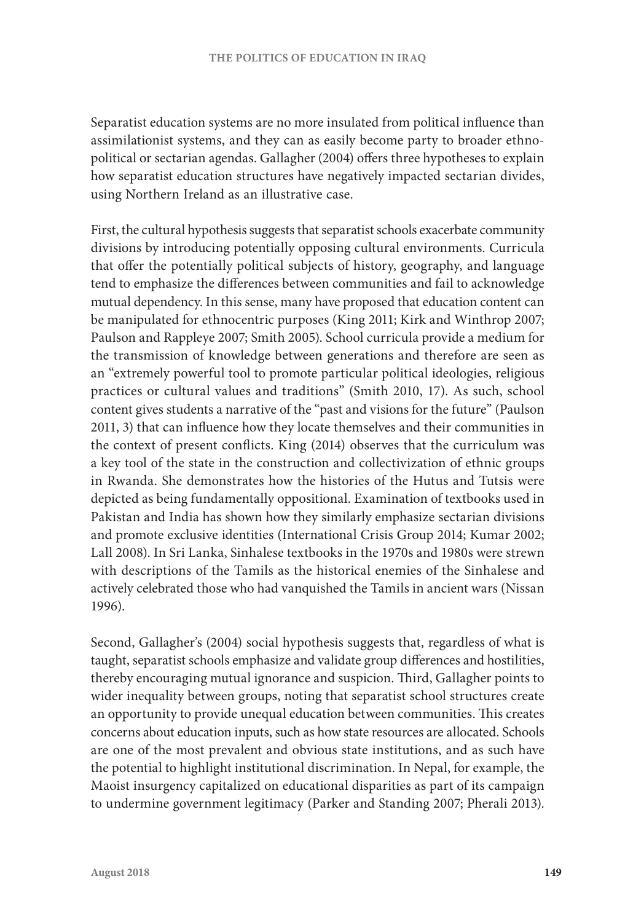Separatist education systems are no more insulated from political influence than assimilationist systems, and they can as easily become party to broader ethnopolitical or sectarian agendas. Gallagher (2004) offers three hypotheses to explain how separatist education structures have negatively impacted sectarian divides, using Northern Ireland as an illustrative case.

First, the cultural hypothesis suggests that separatist schools exacerbate community divisions by introducing potentially opposing cultural environments. Curricula that offer the potentially political subjects of history, geography, and language tend to emphasize the differences between communities and fail to acknowledge mutual dependency. In this sense, many have proposed that education content can be manipulated for ethnocentric purposes (King 2011; Kirk and Winthrop 2007; Paulson and Rappleye 2007; Smith 2005). School curricula provide a medium for the transmission of knowledge between generations and therefore are seen as an "extremely powerful tool to promote particular political ideologies, religious practices or cultural values and traditions" (Smith 2010, 17). As such, school content gives students a narrative of the "past and visions for the future" (Paulson 2011, 3) that can influence how they locate themselves and their communities in the context of present conflicts. King (2014) observes that the curriculum was a key tool of the state in the construction and collectivization of ethnic groups in Rwanda. She demonstrates how the histories of the Hutus and Tutsis were depicted as being fundamentally oppositional. Examination of textbooks used in Pakistan and India has shown how they similarly emphasize sectarian divisions and promote exclusive identities (International Crisis Group 2014; Kumar 2002; Lall 2008). In Sri Lanka, Sinhalese textbooks in the 1970s and 1980s were strewn with descriptions of the Tamils as the historical enemies of the Sinhalese and actively celebrated those who had vanquished the Tamils in ancient wars (Nissan 1996).

Second, Gallagher's (2004) social hypothesis suggests that, regardless of what is taught, separatist schools emphasize and validate group differences and hostilities, thereby encouraging mutual ignorance and suspicion. Third, Gallagher points to wider inequality between groups, noting that separatist school structures create an opportunity to provide unequal education between communities. This creates concerns about education inputs, such as how state resources are allocated. Schools are one of the most prevalent and obvious state institutions, and as such have the potential to highlight institutional discrimination. In Nepal, for example, the Maoist insurgency capitalized on educational disparities as part of its campaign to undermine government legitimacy (Parker and Standing 2007; Pherali 2013).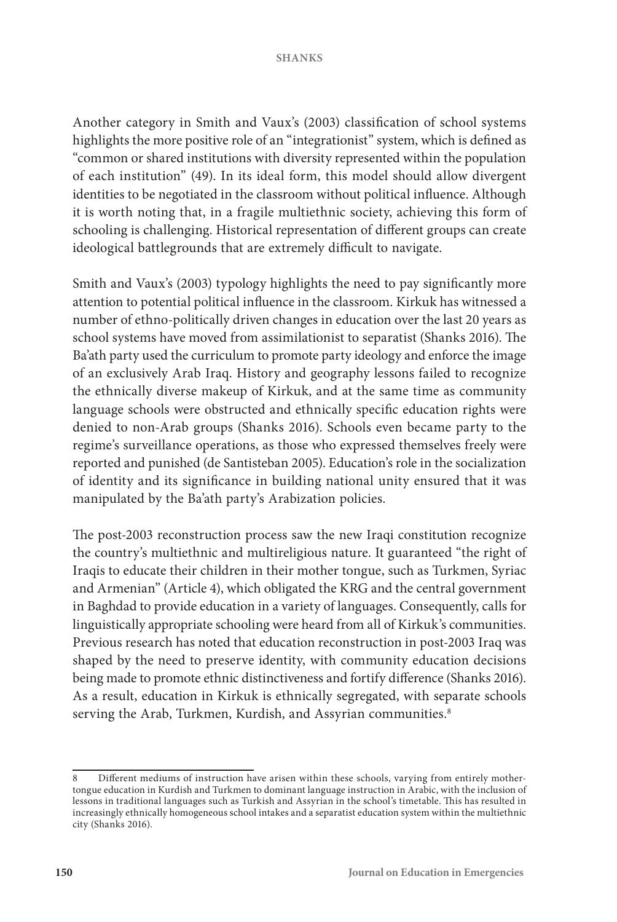Another category in Smith and Vaux's (2003) classification of school systems highlights the more positive role of an "integrationist" system, which is defined as "common or shared institutions with diversity represented within the population of each institution" (49). In its ideal form, this model should allow divergent identities to be negotiated in the classroom without political influence. Although it is worth noting that, in a fragile multiethnic society, achieving this form of schooling is challenging. Historical representation of different groups can create ideological battlegrounds that are extremely difficult to navigate.

Smith and Vaux's (2003) typology highlights the need to pay significantly more attention to potential political influence in the classroom. Kirkuk has witnessed a number of ethno-politically driven changes in education over the last 20 years as school systems have moved from assimilationist to separatist (Shanks 2016). The Ba'ath party used the curriculum to promote party ideology and enforce the image of an exclusively Arab Iraq. History and geography lessons failed to recognize the ethnically diverse makeup of Kirkuk, and at the same time as community language schools were obstructed and ethnically specific education rights were denied to non-Arab groups (Shanks 2016). Schools even became party to the regime's surveillance operations, as those who expressed themselves freely were reported and punished (de Santisteban 2005). Education's role in the socialization of identity and its significance in building national unity ensured that it was manipulated by the Ba'ath party's Arabization policies.

The post-2003 reconstruction process saw the new Iraqi constitution recognize the country's multiethnic and multireligious nature. It guaranteed "the right of Iraqis to educate their children in their mother tongue, such as Turkmen, Syriac and Armenian" (Article 4), which obligated the KRG and the central government in Baghdad to provide education in a variety of languages. Consequently, calls for linguistically appropriate schooling were heard from all of Kirkuk's communities. Previous research has noted that education reconstruction in post-2003 Iraq was shaped by the need to preserve identity, with community education decisions being made to promote ethnic distinctiveness and fortify difference (Shanks 2016). As a result, education in Kirkuk is ethnically segregated, with separate schools serving the Arab, Turkmen, Kurdish, and Assyrian communities.<sup>8</sup>

<sup>8</sup> Different mediums of instruction have arisen within these schools, varying from entirely mothertongue education in Kurdish and Turkmen to dominant language instruction in Arabic, with the inclusion of lessons in traditional languages such as Turkish and Assyrian in the school's timetable. This has resulted in increasingly ethnically homogeneous school intakes and a separatist education system within the multiethnic city (Shanks 2016).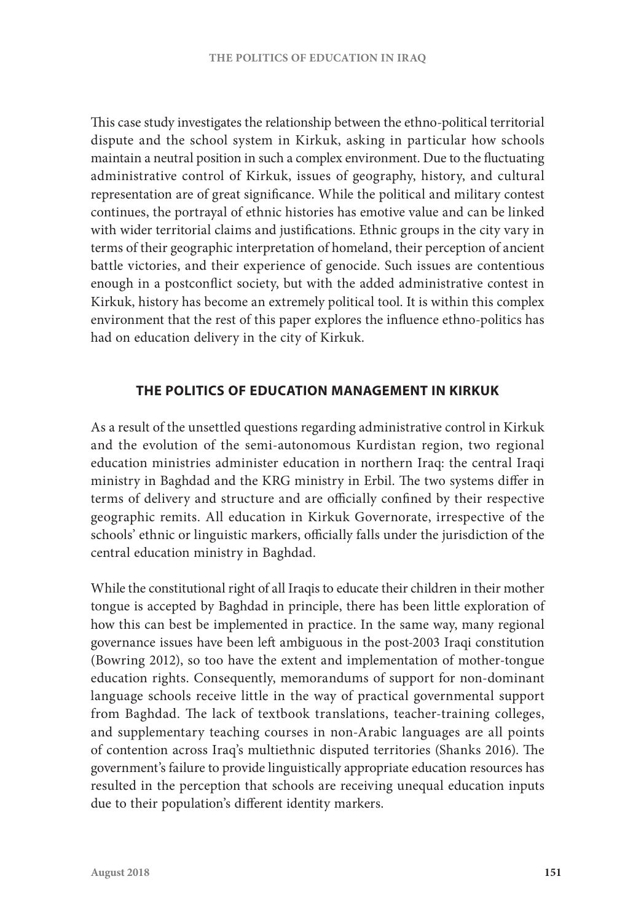This case study investigates the relationship between the ethno-political territorial dispute and the school system in Kirkuk, asking in particular how schools maintain a neutral position in such a complex environment. Due to the fluctuating administrative control of Kirkuk, issues of geography, history, and cultural representation are of great significance. While the political and military contest continues, the portrayal of ethnic histories has emotive value and can be linked with wider territorial claims and justifications. Ethnic groups in the city vary in terms of their geographic interpretation of homeland, their perception of ancient battle victories, and their experience of genocide. Such issues are contentious enough in a postconflict society, but with the added administrative contest in Kirkuk, history has become an extremely political tool. It is within this complex environment that the rest of this paper explores the influence ethno-politics has had on education delivery in the city of Kirkuk.

# **THE POLITICS OF EDUCATION MANAGEMENT IN KIRKUK**

As a result of the unsettled questions regarding administrative control in Kirkuk and the evolution of the semi-autonomous Kurdistan region, two regional education ministries administer education in northern Iraq: the central Iraqi ministry in Baghdad and the KRG ministry in Erbil. The two systems differ in terms of delivery and structure and are officially confined by their respective geographic remits. All education in Kirkuk Governorate, irrespective of the schools' ethnic or linguistic markers, officially falls under the jurisdiction of the central education ministry in Baghdad.

While the constitutional right of all Iraqis to educate their children in their mother tongue is accepted by Baghdad in principle, there has been little exploration of how this can best be implemented in practice. In the same way, many regional governance issues have been left ambiguous in the post-2003 Iraqi constitution (Bowring 2012), so too have the extent and implementation of mother-tongue education rights. Consequently, memorandums of support for non-dominant language schools receive little in the way of practical governmental support from Baghdad. The lack of textbook translations, teacher-training colleges, and supplementary teaching courses in non-Arabic languages are all points of contention across Iraq's multiethnic disputed territories (Shanks 2016). The government's failure to provide linguistically appropriate education resources has resulted in the perception that schools are receiving unequal education inputs due to their population's different identity markers.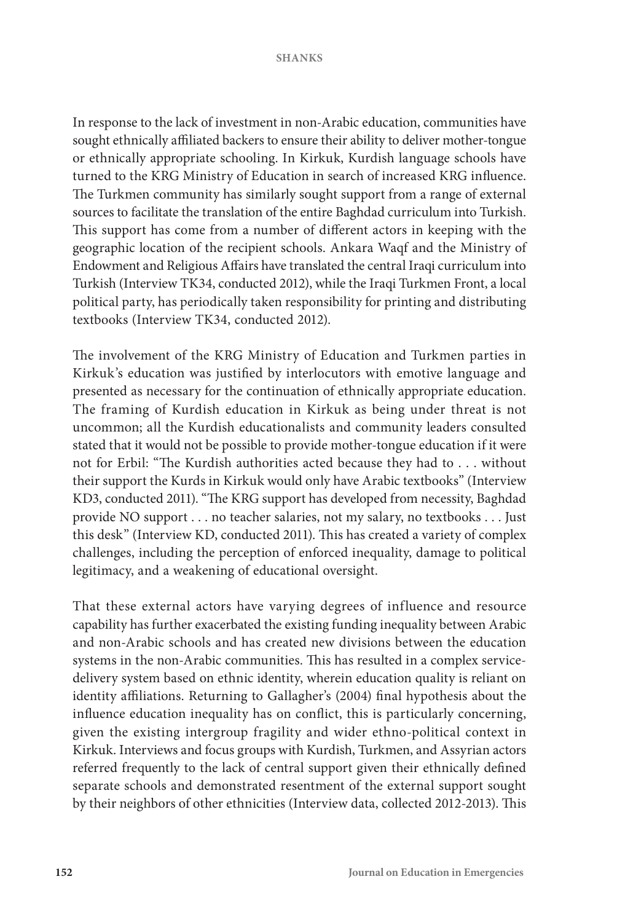In response to the lack of investment in non-Arabic education, communities have sought ethnically affiliated backers to ensure their ability to deliver mother-tongue or ethnically appropriate schooling. In Kirkuk, Kurdish language schools have turned to the KRG Ministry of Education in search of increased KRG influence. The Turkmen community has similarly sought support from a range of external sources to facilitate the translation of the entire Baghdad curriculum into Turkish. This support has come from a number of different actors in keeping with the geographic location of the recipient schools. Ankara Waqf and the Ministry of Endowment and Religious Affairs have translated the central Iraqi curriculum into Turkish (Interview TK34, conducted 2012), while the Iraqi Turkmen Front, a local political party, has periodically taken responsibility for printing and distributing textbooks (Interview TK34, conducted 2012).

The involvement of the KRG Ministry of Education and Turkmen parties in Kirkuk's education was justified by interlocutors with emotive language and presented as necessary for the continuation of ethnically appropriate education. The framing of Kurdish education in Kirkuk as being under threat is not uncommon; all the Kurdish educationalists and community leaders consulted stated that it would not be possible to provide mother-tongue education if it were not for Erbil: "The Kurdish authorities acted because they had to . . . without their support the Kurds in Kirkuk would only have Arabic textbooks" (Interview KD3, conducted 2011). "The KRG support has developed from necessity, Baghdad provide NO support . . . no teacher salaries, not my salary, no textbooks . . . Just this desk" (Interview KD, conducted 2011). This has created a variety of complex challenges, including the perception of enforced inequality, damage to political legitimacy, and a weakening of educational oversight.

That these external actors have varying degrees of influence and resource capability has further exacerbated the existing funding inequality between Arabic and non-Arabic schools and has created new divisions between the education systems in the non-Arabic communities. This has resulted in a complex servicedelivery system based on ethnic identity, wherein education quality is reliant on identity affiliations. Returning to Gallagher's (2004) final hypothesis about the influence education inequality has on conflict, this is particularly concerning, given the existing intergroup fragility and wider ethno-political context in Kirkuk. Interviews and focus groups with Kurdish, Turkmen, and Assyrian actors referred frequently to the lack of central support given their ethnically defined separate schools and demonstrated resentment of the external support sought by their neighbors of other ethnicities (Interview data, collected 2012-2013). This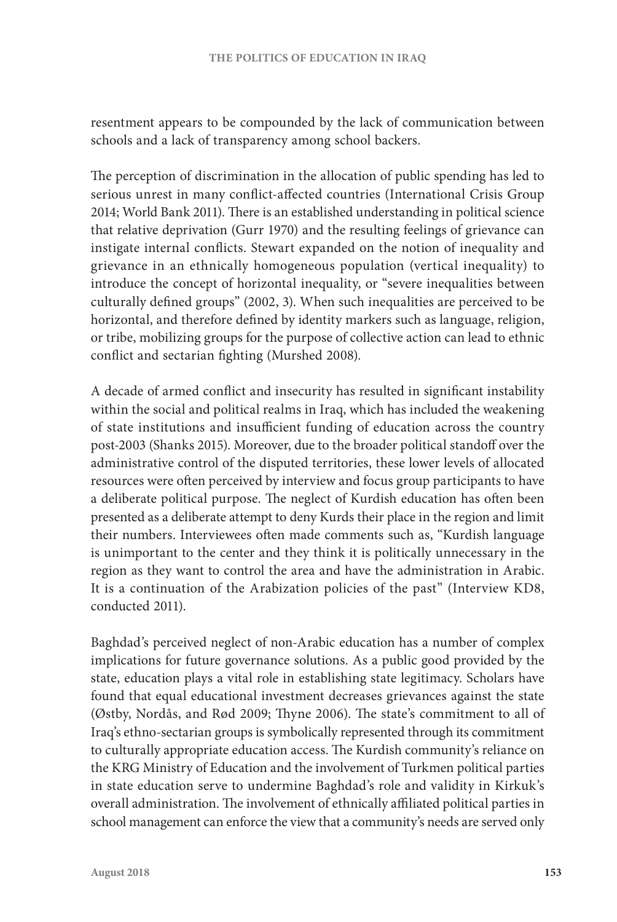resentment appears to be compounded by the lack of communication between schools and a lack of transparency among school backers.

The perception of discrimination in the allocation of public spending has led to serious unrest in many conflict-affected countries (International Crisis Group 2014; World Bank 2011). There is an established understanding in political science that relative deprivation (Gurr 1970) and the resulting feelings of grievance can instigate internal conflicts. Stewart expanded on the notion of inequality and grievance in an ethnically homogeneous population (vertical inequality) to introduce the concept of horizontal inequality, or "severe inequalities between culturally defined groups" (2002, 3). When such inequalities are perceived to be horizontal, and therefore defined by identity markers such as language, religion, or tribe, mobilizing groups for the purpose of collective action can lead to ethnic conflict and sectarian fighting (Murshed 2008).

A decade of armed conflict and insecurity has resulted in significant instability within the social and political realms in Iraq, which has included the weakening of state institutions and insufficient funding of education across the country post-2003 (Shanks 2015). Moreover, due to the broader political standoff over the administrative control of the disputed territories, these lower levels of allocated resources were often perceived by interview and focus group participants to have a deliberate political purpose. The neglect of Kurdish education has often been presented as a deliberate attempt to deny Kurds their place in the region and limit their numbers. Interviewees often made comments such as, "Kurdish language is unimportant to the center and they think it is politically unnecessary in the region as they want to control the area and have the administration in Arabic. It is a continuation of the Arabization policies of the past" (Interview KD8, conducted 2011).

Baghdad's perceived neglect of non-Arabic education has a number of complex implications for future governance solutions. As a public good provided by the state, education plays a vital role in establishing state legitimacy. Scholars have found that equal educational investment decreases grievances against the state (Østby, Nordås, and Rød 2009; Thyne 2006). The state's commitment to all of Iraq's ethno-sectarian groups is symbolically represented through its commitment to culturally appropriate education access. The Kurdish community's reliance on the KRG Ministry of Education and the involvement of Turkmen political parties in state education serve to undermine Baghdad's role and validity in Kirkuk's overall administration. The involvement of ethnically affiliated political parties in school management can enforce the view that a community's needs are served only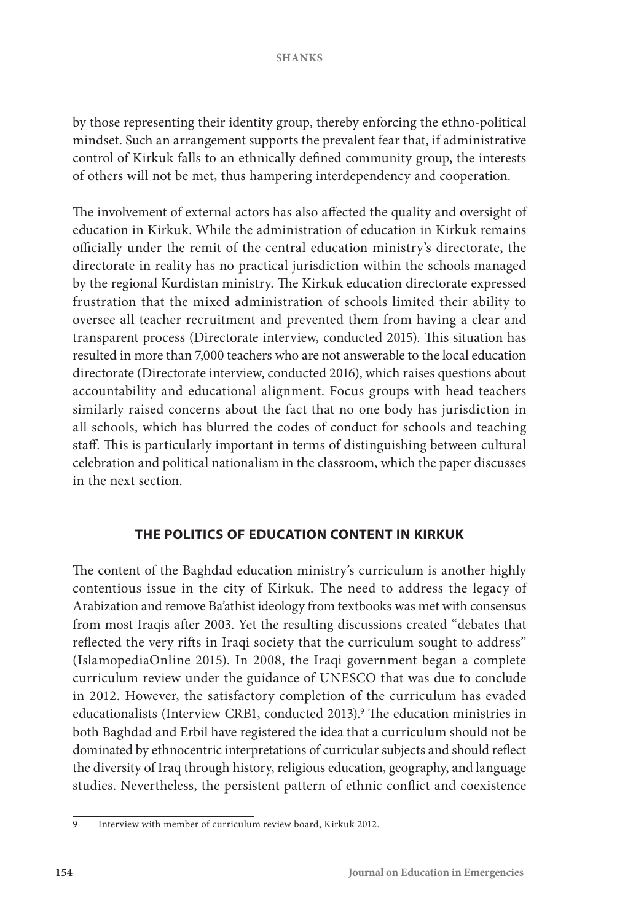by those representing their identity group, thereby enforcing the ethno-political mindset. Such an arrangement supports the prevalent fear that, if administrative control of Kirkuk falls to an ethnically defined community group, the interests of others will not be met, thus hampering interdependency and cooperation.

The involvement of external actors has also affected the quality and oversight of education in Kirkuk. While the administration of education in Kirkuk remains officially under the remit of the central education ministry's directorate, the directorate in reality has no practical jurisdiction within the schools managed by the regional Kurdistan ministry. The Kirkuk education directorate expressed frustration that the mixed administration of schools limited their ability to oversee all teacher recruitment and prevented them from having a clear and transparent process (Directorate interview, conducted 2015). This situation has resulted in more than 7,000 teachers who are not answerable to the local education directorate (Directorate interview, conducted 2016), which raises questions about accountability and educational alignment. Focus groups with head teachers similarly raised concerns about the fact that no one body has jurisdiction in all schools, which has blurred the codes of conduct for schools and teaching staff. This is particularly important in terms of distinguishing between cultural celebration and political nationalism in the classroom, which the paper discusses in the next section.

# **THE POLITICS OF EDUCATION CONTENT IN KIRKUK**

The content of the Baghdad education ministry's curriculum is another highly contentious issue in the city of Kirkuk. The need to address the legacy of Arabization and remove Ba'athist ideology from textbooks was met with consensus from most Iraqis after 2003. Yet the resulting discussions created "debates that reflected the very rifts in Iraqi society that the curriculum sought to address" (IslamopediaOnline 2015). In 2008, the Iraqi government began a complete curriculum review under the guidance of UNESCO that was due to conclude in 2012. However, the satisfactory completion of the curriculum has evaded educationalists (Interview CRB1, conducted 2013).<sup>9</sup> The education ministries in both Baghdad and Erbil have registered the idea that a curriculum should not be dominated by ethnocentric interpretations of curricular subjects and should reflect the diversity of Iraq through history, religious education, geography, and language studies. Nevertheless, the persistent pattern of ethnic conflict and coexistence

<sup>9</sup> Interview with member of curriculum review board, Kirkuk 2012.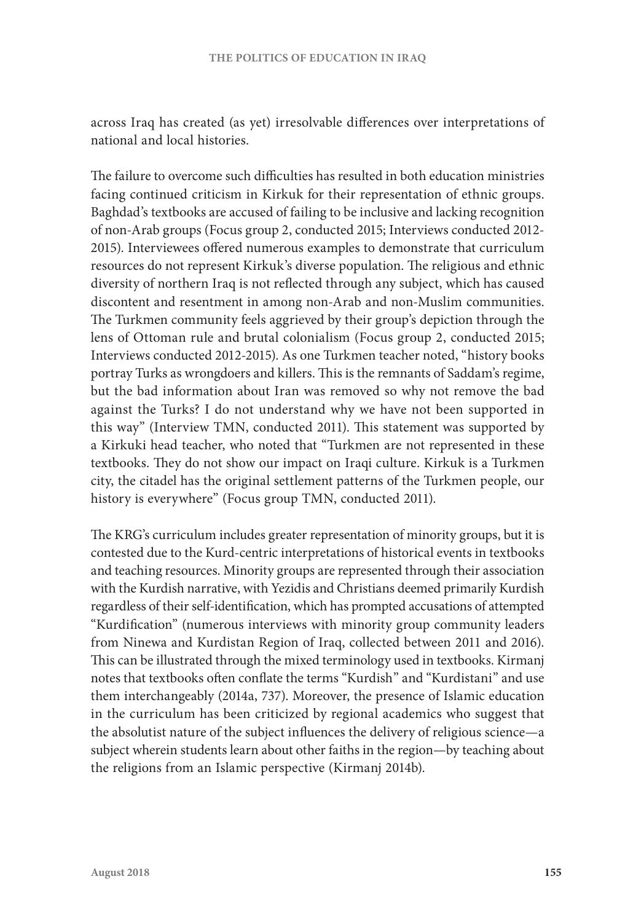across Iraq has created (as yet) irresolvable differences over interpretations of national and local histories.

The failure to overcome such difficulties has resulted in both education ministries facing continued criticism in Kirkuk for their representation of ethnic groups. Baghdad's textbooks are accused of failing to be inclusive and lacking recognition of non-Arab groups (Focus group 2, conducted 2015; Interviews conducted 2012- 2015). Interviewees offered numerous examples to demonstrate that curriculum resources do not represent Kirkuk's diverse population. The religious and ethnic diversity of northern Iraq is not reflected through any subject, which has caused discontent and resentment in among non-Arab and non-Muslim communities. The Turkmen community feels aggrieved by their group's depiction through the lens of Ottoman rule and brutal colonialism (Focus group 2, conducted 2015; Interviews conducted 2012-2015). As one Turkmen teacher noted, "history books portray Turks as wrongdoers and killers. This is the remnants of Saddam's regime, but the bad information about Iran was removed so why not remove the bad against the Turks? I do not understand why we have not been supported in this way" (Interview TMN, conducted 2011). This statement was supported by a Kirkuki head teacher, who noted that "Turkmen are not represented in these textbooks. They do not show our impact on Iraqi culture. Kirkuk is a Turkmen city, the citadel has the original settlement patterns of the Turkmen people, our history is everywhere" (Focus group TMN, conducted 2011).

The KRG's curriculum includes greater representation of minority groups, but it is contested due to the Kurd-centric interpretations of historical events in textbooks and teaching resources. Minority groups are represented through their association with the Kurdish narrative, with Yezidis and Christians deemed primarily Kurdish regardless of their self-identification, which has prompted accusations of attempted "Kurdification" (numerous interviews with minority group community leaders from Ninewa and Kurdistan Region of Iraq, collected between 2011 and 2016). This can be illustrated through the mixed terminology used in textbooks. Kirmanj notes that textbooks often conflate the terms "Kurdish" and "Kurdistani" and use them interchangeably (2014a, 737). Moreover, the presence of Islamic education in the curriculum has been criticized by regional academics who suggest that the absolutist nature of the subject influences the delivery of religious science—a subject wherein students learn about other faiths in the region—by teaching about the religions from an Islamic perspective (Kirmanj 2014b).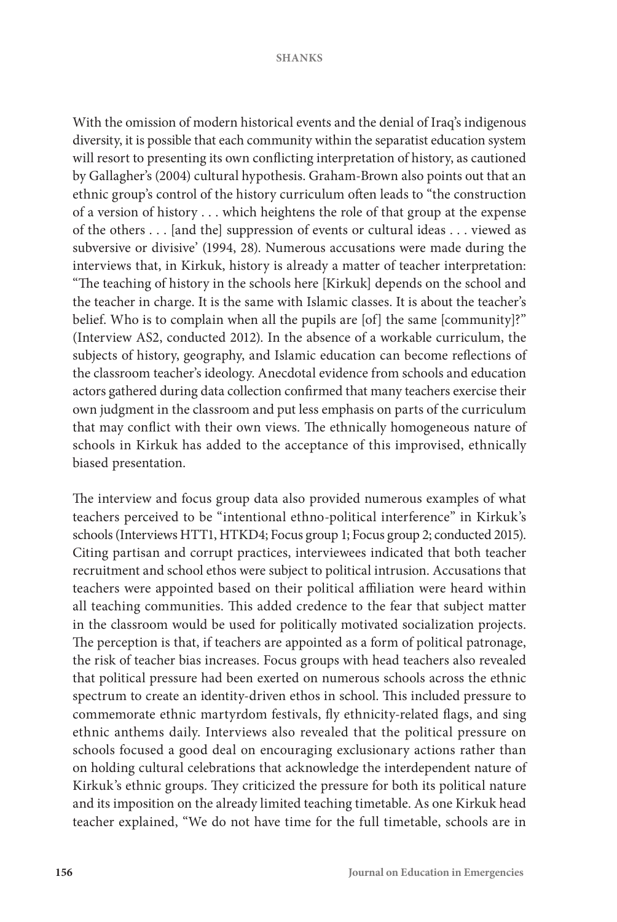With the omission of modern historical events and the denial of Iraq's indigenous diversity, it is possible that each community within the separatist education system will resort to presenting its own conflicting interpretation of history, as cautioned by Gallagher's (2004) cultural hypothesis. Graham-Brown also points out that an ethnic group's control of the history curriculum often leads to "the construction of a version of history . . . which heightens the role of that group at the expense of the others . . . [and the] suppression of events or cultural ideas . . . viewed as subversive or divisive' (1994, 28). Numerous accusations were made during the interviews that, in Kirkuk, history is already a matter of teacher interpretation: "The teaching of history in the schools here [Kirkuk] depends on the school and the teacher in charge. It is the same with Islamic classes. It is about the teacher's belief. Who is to complain when all the pupils are [of] the same [community]?" (Interview AS2, conducted 2012). In the absence of a workable curriculum, the subjects of history, geography, and Islamic education can become reflections of the classroom teacher's ideology. Anecdotal evidence from schools and education actors gathered during data collection confirmed that many teachers exercise their own judgment in the classroom and put less emphasis on parts of the curriculum that may conflict with their own views. The ethnically homogeneous nature of schools in Kirkuk has added to the acceptance of this improvised, ethnically biased presentation.

The interview and focus group data also provided numerous examples of what teachers perceived to be "intentional ethno-political interference" in Kirkuk's schools (Interviews HTT1, HTKD4; Focus group 1; Focus group 2; conducted 2015). Citing partisan and corrupt practices, interviewees indicated that both teacher recruitment and school ethos were subject to political intrusion. Accusations that teachers were appointed based on their political affiliation were heard within all teaching communities. This added credence to the fear that subject matter in the classroom would be used for politically motivated socialization projects. The perception is that, if teachers are appointed as a form of political patronage, the risk of teacher bias increases. Focus groups with head teachers also revealed that political pressure had been exerted on numerous schools across the ethnic spectrum to create an identity-driven ethos in school. This included pressure to commemorate ethnic martyrdom festivals, fly ethnicity-related flags, and sing ethnic anthems daily. Interviews also revealed that the political pressure on schools focused a good deal on encouraging exclusionary actions rather than on holding cultural celebrations that acknowledge the interdependent nature of Kirkuk's ethnic groups. They criticized the pressure for both its political nature and its imposition on the already limited teaching timetable. As one Kirkuk head teacher explained, "We do not have time for the full timetable, schools are in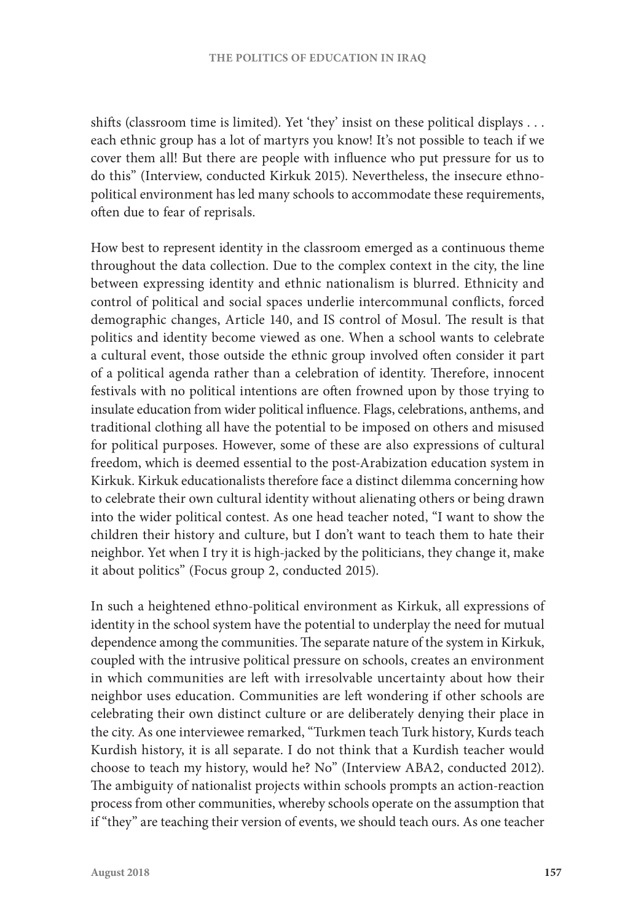shifts (classroom time is limited). Yet 'they' insist on these political displays . . . each ethnic group has a lot of martyrs you know! It's not possible to teach if we cover them all! But there are people with influence who put pressure for us to do this" (Interview, conducted Kirkuk 2015). Nevertheless, the insecure ethnopolitical environment has led many schools to accommodate these requirements, often due to fear of reprisals.

How best to represent identity in the classroom emerged as a continuous theme throughout the data collection. Due to the complex context in the city, the line between expressing identity and ethnic nationalism is blurred. Ethnicity and control of political and social spaces underlie intercommunal conflicts, forced demographic changes, Article 140, and IS control of Mosul. The result is that politics and identity become viewed as one. When a school wants to celebrate a cultural event, those outside the ethnic group involved often consider it part of a political agenda rather than a celebration of identity. Therefore, innocent festivals with no political intentions are often frowned upon by those trying to insulate education from wider political influence. Flags, celebrations, anthems, and traditional clothing all have the potential to be imposed on others and misused for political purposes. However, some of these are also expressions of cultural freedom, which is deemed essential to the post-Arabization education system in Kirkuk. Kirkuk educationalists therefore face a distinct dilemma concerning how to celebrate their own cultural identity without alienating others or being drawn into the wider political contest. As one head teacher noted, "I want to show the children their history and culture, but I don't want to teach them to hate their neighbor. Yet when I try it is high-jacked by the politicians, they change it, make it about politics" (Focus group 2, conducted 2015).

In such a heightened ethno-political environment as Kirkuk, all expressions of identity in the school system have the potential to underplay the need for mutual dependence among the communities. The separate nature of the system in Kirkuk, coupled with the intrusive political pressure on schools, creates an environment in which communities are left with irresolvable uncertainty about how their neighbor uses education. Communities are left wondering if other schools are celebrating their own distinct culture or are deliberately denying their place in the city. As one interviewee remarked, "Turkmen teach Turk history, Kurds teach Kurdish history, it is all separate. I do not think that a Kurdish teacher would choose to teach my history, would he? No" (Interview ABA2, conducted 2012). The ambiguity of nationalist projects within schools prompts an action-reaction process from other communities, whereby schools operate on the assumption that if "they" are teaching their version of events, we should teach ours. As one teacher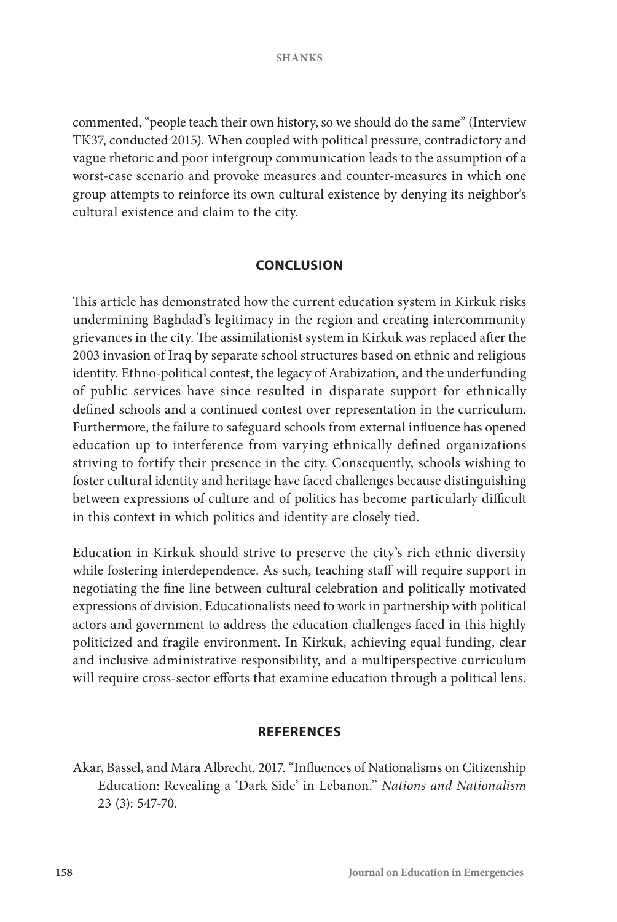commented, "people teach their own history, so we should do the same" (Interview TK37, conducted 2015). When coupled with political pressure, contradictory and vague rhetoric and poor intergroup communication leads to the assumption of a worst-case scenario and provoke measures and counter-measures in which one group attempts to reinforce its own cultural existence by denying its neighbor's cultural existence and claim to the city.

## **CONCLUSION**

This article has demonstrated how the current education system in Kirkuk risks undermining Baghdad's legitimacy in the region and creating intercommunity grievances in the city. The assimilationist system in Kirkuk was replaced after the 2003 invasion of Iraq by separate school structures based on ethnic and religious identity. Ethno-political contest, the legacy of Arabization, and the underfunding of public services have since resulted in disparate support for ethnically defined schools and a continued contest over representation in the curriculum. Furthermore, the failure to safeguard schools from external influence has opened education up to interference from varying ethnically defined organizations striving to fortify their presence in the city. Consequently, schools wishing to foster cultural identity and heritage have faced challenges because distinguishing between expressions of culture and of politics has become particularly difficult in this context in which politics and identity are closely tied.

Education in Kirkuk should strive to preserve the city's rich ethnic diversity while fostering interdependence. As such, teaching staff will require support in negotiating the fine line between cultural celebration and politically motivated expressions of division. Educationalists need to work in partnership with political actors and government to address the education challenges faced in this highly politicized and fragile environment. In Kirkuk, achieving equal funding, clear and inclusive administrative responsibility, and a multiperspective curriculum will require cross-sector efforts that examine education through a political lens.

## **REFERENCES**

Akar, Bassel, and Mara Albrecht. 2017. "Influences of Nationalisms on Citizenship Education: Revealing a 'Dark Side' in Lebanon." *Nations and Nationalism* 23 (3): 547-70.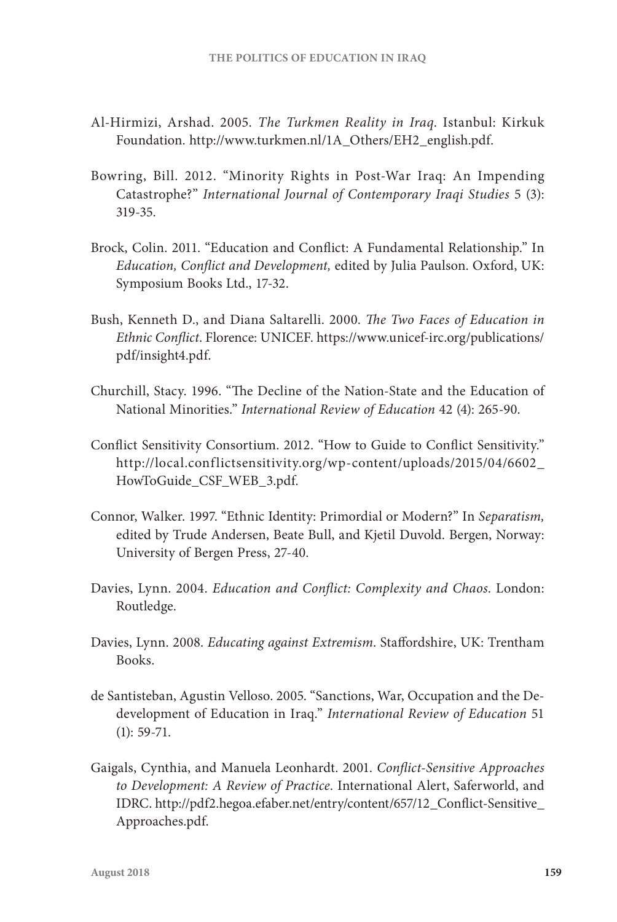- Al-Hirmizi, Arshad. 2005. *The Turkmen Reality in Iraq*. Istanbul: Kirkuk Foundation. http://www.turkmen.nl/1A\_Others/EH2\_english.pdf.
- Bowring, Bill. 2012. "Minority Rights in Post-War Iraq: An Impending Catastrophe?" *International Journal of Contemporary Iraqi Studies* 5 (3): 319-35.
- Brock, Colin. 2011. "Education and Conflict: A Fundamental Relationship." In *Education, Conflict and Development,* edited by Julia Paulson. Oxford, UK: Symposium Books Ltd., 17-32.
- Bush, Kenneth D., and Diana Saltarelli. 2000. *The Two Faces of Education in Ethnic Conflict*. Florence: UNICEF. https://www.unicef-irc.org/publications/ pdf/insight4.pdf.
- Churchill, Stacy. 1996. "The Decline of the Nation-State and the Education of National Minorities." *International Review of Education* 42 (4): 265-90.
- Conflict Sensitivity Consortium. 2012. "How to Guide to Conflict Sensitivity." http://local.conflictsensitivity.org/wp-content/uploads/2015/04/6602\_ HowToGuide\_CSF\_WEB\_3.pdf.
- Connor, Walker. 1997. "Ethnic Identity: Primordial or Modern?" In *Separatism,* edited by Trude Andersen, Beate Bull, and Kjetil Duvold. Bergen, Norway: University of Bergen Press, 27-40.
- Davies, Lynn. 2004. *Education and Conflict: Complexity and Chaos*. London: Routledge.
- Davies, Lynn. 2008. *Educating against Extremism*. Staffordshire, UK: Trentham Books.
- de Santisteban, Agustin Velloso. 2005. "Sanctions, War, Occupation and the Dedevelopment of Education in Iraq." *International Review of Education* 51 (1): 59-71.
- Gaigals, Cynthia, and Manuela Leonhardt. 2001. *Conflict-Sensitive Approaches to Development: A Review of Practice*. International Alert, Saferworld, and IDRC. http://pdf2.hegoa.efaber.net/entry/content/657/12\_Conflict-Sensitive\_ Approaches.pdf.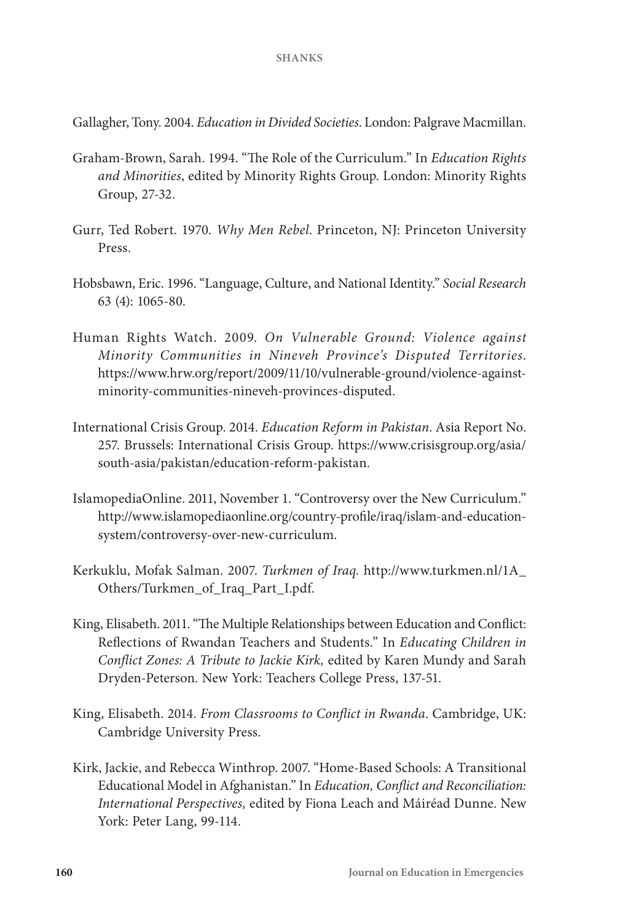Gallagher, Tony. 2004. *Education in Divided Societies*. London: Palgrave Macmillan.

- Graham-Brown, Sarah. 1994. "The Role of the Curriculum." In *Education Rights and Minorities*, edited by Minority Rights Group. London: Minority Rights Group, 27-32.
- Gurr, Ted Robert. 1970. *Why Men Rebel*. Princeton, NJ: Princeton University Press.
- Hobsbawn, Eric. 1996. "Language, Culture, and National Identity." *Social Research* 63 (4): 1065-80.
- Human Rights Watch. 2009. *On Vulnerable Ground: Violence against Minority Communities in Nineveh Province's Disputed Territories*. https://www.hrw.org/report/2009/11/10/vulnerable-ground/violence-againstminority-communities-nineveh-provinces-disputed.
- International Crisis Group. 2014. *Education Reform in Pakistan*. Asia Report No. 257. Brussels: International Crisis Group. https://www.crisisgroup.org/asia/ south-asia/pakistan/education-reform-pakistan.
- IslamopediaOnline. 2011, November 1. "Controversy over the New Curriculum." http://www.islamopediaonline.org/country-profile/iraq/islam-and-educationsystem/controversy-over-new-curriculum.
- Kerkuklu, Mofak Salman. 2007. *Turkmen of Iraq.* http://www.turkmen.nl/1A\_ Others/Turkmen\_of\_Iraq\_Part\_I.pdf.
- King, Elisabeth. 2011. "The Multiple Relationships between Education and Conflict: Reflections of Rwandan Teachers and Students." In *Educating Children in Conflict Zones: A Tribute to Jackie Kirk,* edited by Karen Mundy and Sarah Dryden-Peterson. New York: Teachers College Press, 137-51.
- King, Elisabeth. 2014. *From Classrooms to Conflict in Rwanda*. Cambridge, UK: Cambridge University Press.
- Kirk, Jackie, and Rebecca Winthrop. 2007. "Home-Based Schools: A Transitional Educational Model in Afghanistan." In *Education, Conflict and Reconciliation: International Perspectives,* edited by Fiona Leach and Máiréad Dunne. New York: Peter Lang, 99-114.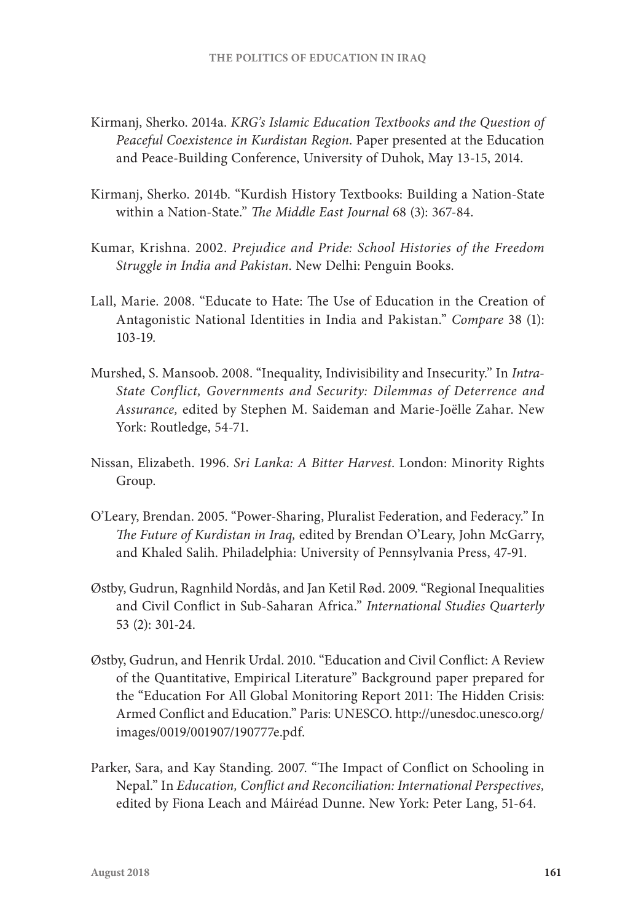- Kirmanj, Sherko. 2014a. *KRG's Islamic Education Textbooks and the Question of Peaceful Coexistence in Kurdistan Region*. Paper presented at the Education and Peace-Building Conference, University of Duhok, May 13-15, 2014.
- Kirmanj, Sherko. 2014b. "Kurdish History Textbooks: Building a Nation-State within a Nation-State." *The Middle East Journal* 68 (3): 367-84.
- Kumar, Krishna. 2002. *Prejudice and Pride: School Histories of the Freedom Struggle in India and Pakistan*. New Delhi: Penguin Books.
- Lall, Marie. 2008. "Educate to Hate: The Use of Education in the Creation of Antagonistic National Identities in India and Pakistan." *Compare* 38 (1): 103-19.
- Murshed, S. Mansoob. 2008. "Inequality, Indivisibility and Insecurity." In *Intra-State Conflict, Governments and Security: Dilemmas of Deterrence and Assurance,* edited by Stephen M. Saideman and Marie-Joëlle Zahar. New York: Routledge, 54-71.
- Nissan, Elizabeth. 1996. *Sri Lanka: A Bitter Harvest*. London: Minority Rights Group.
- O'Leary, Brendan. 2005. "Power-Sharing, Pluralist Federation, and Federacy." In *The Future of Kurdistan in Iraq,* edited by Brendan O'Leary, John McGarry, and Khaled Salih. Philadelphia: University of Pennsylvania Press, 47-91.
- Østby, Gudrun, Ragnhild Nordås, and Jan Ketil Rød. 2009. "Regional Inequalities and Civil Conflict in Sub-Saharan Africa." *International Studies Quarterly* 53 (2): 301-24.
- Østby, Gudrun, and Henrik Urdal. 2010. "Education and Civil Conflict: A Review of the Quantitative, Empirical Literature" Background paper prepared for the "Education For All Global Monitoring Report 2011: The Hidden Crisis: Armed Conflict and Education." Paris: UNESCO. http://unesdoc.unesco.org/ images/0019/001907/190777e.pdf.
- Parker, Sara, and Kay Standing. 2007. "The Impact of Conflict on Schooling in Nepal." In *Education, Conflict and Reconciliation: International Perspectives,* edited by Fiona Leach and Máiréad Dunne. New York: Peter Lang, 51-64.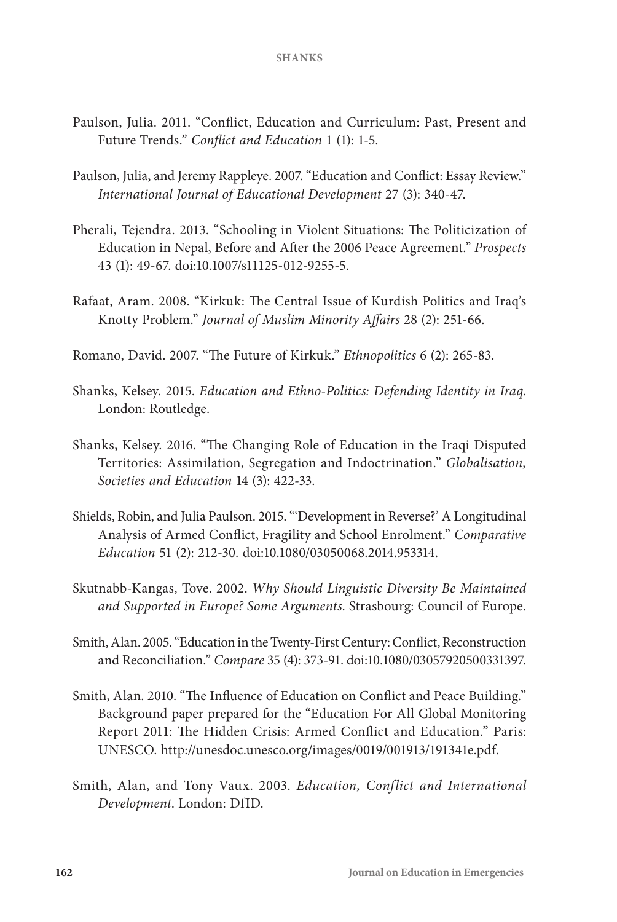- Paulson, Julia. 2011. "Conflict, Education and Curriculum: Past, Present and Future Trends." *Conflict and Education* 1 (1): 1-5.
- Paulson, Julia, and Jeremy Rappleye. 2007. "Education and Conflict: Essay Review." *International Journal of Educational Development* 27 (3): 340-47.
- Pherali, Tejendra. 2013. "Schooling in Violent Situations: The Politicization of Education in Nepal, Before and After the 2006 Peace Agreement." *Prospects* 43 (1): 49-67. doi:10.1007/s11125-012-9255-5.
- Rafaat, Aram. 2008. "Kirkuk: The Central Issue of Kurdish Politics and Iraq's Knotty Problem." *Journal of Muslim Minority Affairs* 28 (2): 251-66.
- Romano, David. 2007. "The Future of Kirkuk." *Ethnopolitics* 6 (2): 265-83.
- Shanks, Kelsey. 2015. *Education and Ethno-Politics: Defending Identity in Iraq*. London: Routledge.
- Shanks, Kelsey. 2016. "The Changing Role of Education in the Iraqi Disputed Territories: Assimilation, Segregation and Indoctrination." *Globalisation, Societies and Education* 14 (3): 422-33.
- Shields, Robin, and Julia Paulson. 2015. "'Development in Reverse?' A Longitudinal Analysis of Armed Conflict, Fragility and School Enrolment." *Comparative Education* 51 (2): 212-30. doi:10.1080/03050068.2014.953314.
- Skutnabb-Kangas, Tove. 2002. *Why Should Linguistic Diversity Be Maintained and Supported in Europe? Some Arguments*. Strasbourg: Council of Europe.
- Smith, Alan. 2005. "Education in the Twenty-First Century: Conflict, Reconstruction and Reconciliation." *Compare* 35 (4): 373-91. doi:10.1080/03057920500331397.
- Smith, Alan. 2010. "The Influence of Education on Conflict and Peace Building." Background paper prepared for the "Education For All Global Monitoring Report 2011: The Hidden Crisis: Armed Conflict and Education." Paris: UNESCO. http://unesdoc.unesco.org/images/0019/001913/191341e.pdf.
- Smith, Alan, and Tony Vaux. 2003. *Education, Conflict and International Development*. London: DfID.